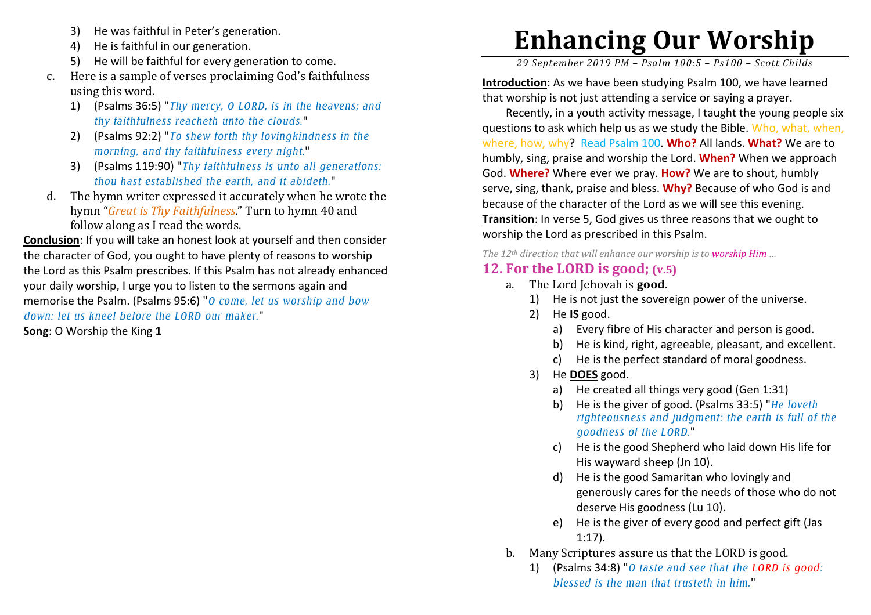- 3)He was faithful in Peter's generation.
- 4)He is faithful in our generation.
- 5) He will be faithful for every generation to come.
- c. Here is a sample of verses proclaiming God's faithfulness using this word.
	- 1) (Psalms 36:5) "*Thy mercy, O LORD, is in the heavens; and thy faithfulness reacheth unto the clouds.*"
	- 2) (Psalms 92:2) "*To shew forth thy lovingkindness in the morning, and thy faithfulness every night,*"
	- 3) (Psalms 119:90) "*Thy faithfulness is unto all generations: thou hast established the earth, and it abideth.*"
- d. The hymn writer expressed it accurately when he wrote the hymn "*Great is Thy Faithfulness*." Turn to hymn 40 and follow along as I read the words.

**Conclusion**: If you will take an honest look at yourself and then consider the character of God, you ought to have plenty of reasons to worship the Lord as this Psalm prescribes. If this Psalm has not already enhanced your daily worship, I urge you to listen to the sermons again and memorise the Psalm. (Psalms 95:6) "*O come, let us worship and bow down: let us kneel before the LORD our maker.*"

**Song**: O Worship the King **1** 

## **Enhancing Our Worship**

*29 September 2019 PM – Psalm 100:5 – Ps100 – Scott Childs* 

**Introduction**: As we have been studying Psalm 100, we have learned that worship is not just attending a service or saying a prayer.

Recently, in a youth activity message, I taught the young people six questions to ask which help us as we study the Bible. Who, what, when, where, how, why? Read Psalm 100. **Who?** All lands. **What?** We are to humbly, sing, praise and worship the Lord. **When?** When we approach God. **Where?** Where ever we pray. **How?** We are to shout, humbly serve, sing, thank, praise and bless. **Why?** Because of who God is and because of the character of the Lord as we will see this evening. **Transition**: In verse 5, God gives us three reasons that we ought to worship the Lord as prescribed in this Psalm.

*The 12th direction that will enhance our worship is to worship Him …* 

## **12. For the LORD is good; (v.5)**

- a. The Lord Jehovah is **good**.
	- 1) He is not just the sovereign power of the universe.
	- 2) He **IS** good.
		- a) Every fibre of His character and person is good.
		- b) He is kind, right, agreeable, pleasant, and excellent.
		- c) He is the perfect standard of moral goodness.
	- 3) He **DOES** good.
		- a) He created all things very good (Gen 1:31)
		- b) He is the giver of good. (Psalms 33:5) "*He loveth righteousness and judgment: the earth is full of the goodness of the LORD.*"
		- c) He is the good Shepherd who laid down His life for His wayward sheep (Jn 10).
		- d) He is the good Samaritan who lovingly and generously cares for the needs of those who do not deserve His goodness (Lu 10).
		- e) He is the giver of every good and perfect gift (Jas1:17).
- b. Many Scriptures assure us that the LORD is good.
	- 1) (Psalms 34:8) "*O taste and see that the LORD is good: blessed is the man that trusteth in him.*"